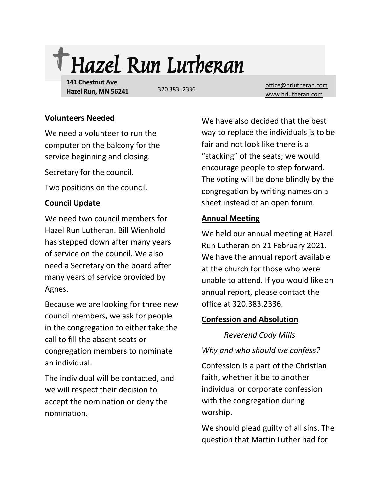

**141 Chestnut Ave Hazel Run, MN 56241**

320.383 2336

[office@hrlutheran.com](mailto:office@hrlutheran.com) [www.hrlutheran.com](http://www.hrlutheran.com/)

#### **Volunteers Needed**

We need a volunteer to run the computer on the balcony for the service beginning and closing.

Secretary for the council.

Two positions on the council.

## **Council Update**

We need two council members for Hazel Run Lutheran. Bill Wienhold has stepped down after many years of service on the council. We also need a Secretary on the board after many years of service provided by Agnes.

Because we are looking for three new council members, we ask for people in the congregation to either take the call to fill the absent seats or congregation members to nominate an individual.

The individual will be contacted, and we will respect their decision to accept the nomination or deny the nomination.

We have also decided that the best way to replace the individuals is to be fair and not look like there is a "stacking" of the seats; we would encourage people to step forward. The voting will be done blindly by the congregation by writing names on a sheet instead of an open forum.

# **Annual Meeting**

We held our annual meeting at Hazel Run Lutheran on 21 February 2021. We have the annual report available at the church for those who were unable to attend. If you would like an annual report, please contact the office at 320.383.2336.

## **Confession and Absolution**

*Reverend Cody Mills*

*Why and who should we confess?* 

Confession is a part of the Christian faith, whether it be to another individual or corporate confession with the congregation during worship.

We should plead guilty of all sins. The question that Martin Luther had for